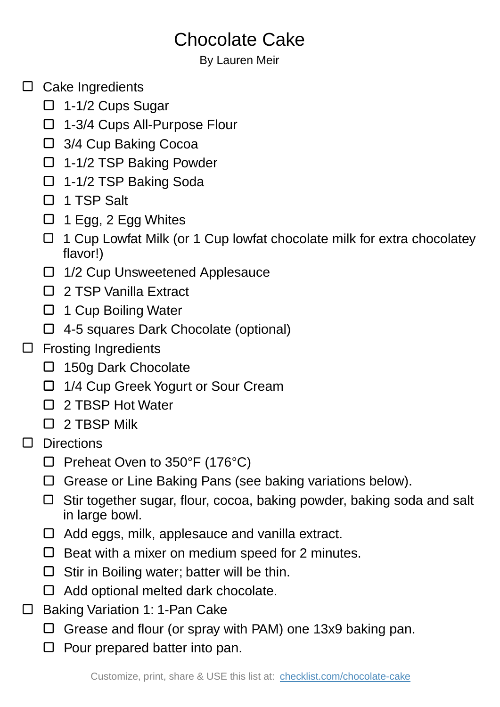## Chocolate Cake

By Lauren Meir

- $\Box$  Cake Ingredients
	- $\Box$  1-1/2 Cups Sugar
	- □ 1-3/4 Cups All-Purpose Flour
	- □ 3/4 Cup Baking Cocoa
	- □ 1-1/2 TSP Baking Powder
	- 1-1/2 TSP Baking Soda
	- □ 1 TSP Salt
	- $\Box$  1 Egg, 2 Egg Whites
	- □ 1 Cup Lowfat Milk (or 1 Cup lowfat chocolate milk for extra chocolatey flavor!)
	- □ 1/2 Cup Unsweetened Applesauce
	- □ 2 TSP Vanilla Extract
	- $\Box$  1 Cup Boiling Water
	- 4-5 squares Dark Chocolate (optional)
- □ Frosting Ingredients
	- □ 150g Dark Chocolate
	- □ 1/4 Cup Greek Yogurt or Sour Cream
	- □ 2 TBSP Hot Water
	- $\Box$  2 TBSP Milk
- D Directions
	- $\Box$  Preheat Oven to 350°F (176°C)
	- Grease or Line Baking Pans (see baking variations below).
	- $\Box$  Stir together sugar, flour, cocoa, baking powder, baking soda and salt in large bowl.
	- □ Add eggs, milk, applesauce and vanilla extract.
	- $\Box$  Beat with a mixer on medium speed for 2 minutes.
	- $\Box$  Stir in Boiling water; batter will be thin.
	- $\Box$  Add optional melted dark chocolate.
- □ Baking Variation 1: 1-Pan Cake
	- $\Box$  Grease and flour (or spray with PAM) one 13x9 baking pan.
	- $\Box$  Pour prepared batter into pan.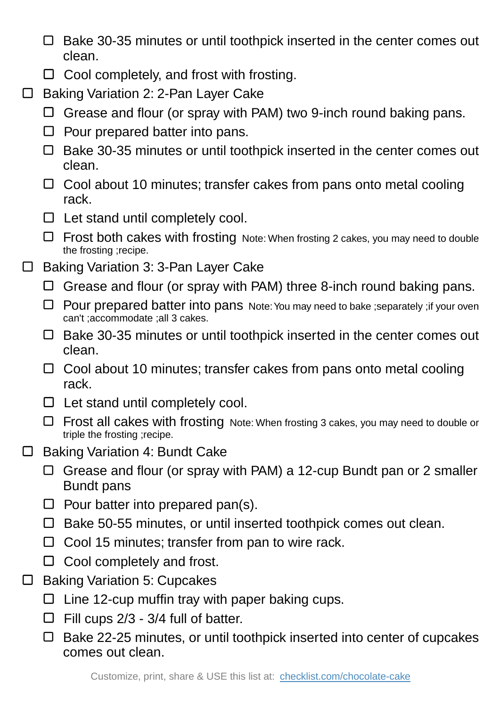- $\Box$  Bake 30-35 minutes or until toothpick inserted in the center comes out clean.
- $\Box$  Cool completely, and frost with frosting.
- Baking Variation 2: 2-Pan Layer Cake  $\Box$ 
	- $\Box$  Grease and flour (or spray with PAM) two 9-inch round baking pans.
	- $\Box$  Pour prepared batter into pans.
	- $\Box$  Bake 30-35 minutes or until toothpick inserted in the center comes out clean.
	- $\Box$  Cool about 10 minutes; transfer cakes from pans onto metal cooling rack.
	- $\Box$  Let stand until completely cool.
	- Frost both cakes with frosting Note: When frosting 2 cakes, you may need to double the frosting ;recipe.
- Baking Variation 3: 3-Pan Layer Cake  $\mathbb{R}^n$ 
	- $\Box$  Grease and flour (or spray with PAM) three 8-inch round baking pans.
	- $\Box$  Pour prepared batter into pans Note: You may need to bake ; separately ; if your oven can't ;accommodate ;all 3 cakes.
	- $\Box$  Bake 30-35 minutes or until toothpick inserted in the center comes out clean.
	- $\Box$  Cool about 10 minutes; transfer cakes from pans onto metal cooling rack.
	- $\Box$  Let stand until completely cool.
	- $\Box$  Frost all cakes with frosting Note: When frosting 3 cakes, you may need to double or triple the frosting ;recipe.
- Baking Variation 4: Bundt Cake  $\Box$ 
	- $\Box$  Grease and flour (or spray with PAM) a 12-cup Bundt pan or 2 smaller Bundt pans
	- $\Box$  Pour batter into prepared pan(s).
	- $\square$  Bake 50-55 minutes, or until inserted toothpick comes out clean.
	- $\Box$  Cool 15 minutes; transfer from pan to wire rack.
	- $\Box$  Cool completely and frost.
- Baking Variation 5: Cupcakes  $\Box$ 
	- $\Box$  Line 12-cup muffin tray with paper baking cups.
	- $\Box$  Fill cups 2/3 3/4 full of batter.
	- $\Box$  Bake 22-25 minutes, or until toothpick inserted into center of cupcakes comes out clean.